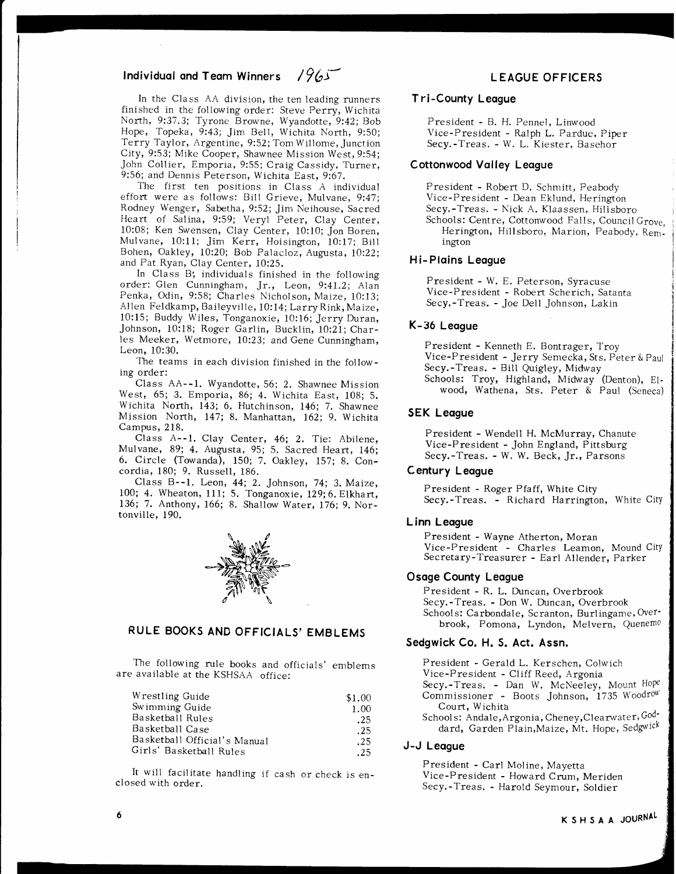# Individual and Team Winners /  $965$

In the Class AA division, the ten leading runners finished in the following order: Steve Perry, Wichita North, 9:37.3; Tyrone Browne, Wyandotte, 9:42; Bob Hope, Topeka, 9:43; Jim Bell, Wichita North, 9:50; Terry Taylor, Argentine, 9:52; Tom Willome, Junction City, 9:53; Mike Cooper, Shawnee Mission West, 9:54; John Collier, Emporia, 9:55; Craig Cassidy, Turner, 9:56; and Dennis Peterson, Wichita East, 9:67.

The first ten positions in Class A individual effort were as follows: Bill Grieve, Mulvane, 9:47; Rodney Wenger, Sabetha, 9:52; Jim Neihouse, Sacred Heart of Salina, 9:59; Veryl Peter, Clay Center, 10:08; Ken Swensen, Clay Center, 10:10; Jon Boren, Mulvane, 10:11; Jim Kerr, Hoisington, 10:17; Bill Bohen, Oakley, 10:20; Bob Palacloz, Augusta, 10:22; and Pat Ryan, Clay Center, 10:25.

In Class B; individuals finished in the following order: Glen Cunningham, Jr., Leon, 9:41.2; Alan Penka, Odin, 9:58; Charles Njcholson, Maize, 10:13; Allen Feldkamp, Baileyville, 10:14; Larry Rink, Maize, 10:15; Buddy Wiles, Tonganoxie, 10:16; Jerry Duran, Johnson, l0:18; Roger Garlin, Bucklin, I0:2L; Charles Meeker, Wetmore, 10:23; and Gene Cunningham, Leon, 10:30.

The teams in each division finished in the following order:

Class AA--1. Wyandotte, 56; 2. Shawnee Mission West, 65; 3. Emporia, 86; 4. Wichita East, 108; 5. Wichita North, 143; 6. Hutchinson, 146; 7, Shawnee Mission North, L47; 8. Manhattan, 162; 9. Wichita Campus, 218.

Class A--1. Clay Center, 46; 2. Tie: Abilene, Mulvane, 89; 4. Augusta, 95; 5. Sacred Heart, 146; 6. Circle (Towanda), 150; 7. Oakley, 157; 8. Concordia, 180; 9. Russell, 186.

Class B--1. Leon, 44; 2. Johnson, 74; 3. Maize, 100; 4. Wheaton, 111; 5. Tonganoxie, 129; 6. Elkhart, 136; 7. Anthony, 166; 8. Shallow Water, 176; 9. Nortonville, 190.



## RULE BOOKS AND OFFICIALS'EMBLEMS

The following rule books and officials' emblems are available at the KSHSAA office:

| Wrestling Guide              | \$1.00 |
|------------------------------|--------|
| Swimming Guide               | 1.00   |
| Basketball Rules             | .25    |
| Basketball Case              | .25    |
| Basketball Official's Manual | .25    |
| Girls' Basketball Rules      | .25    |

It will facilitate handling if cash or check is enclosed with order.

### L EAGUE OFFICERS

#### T ri-County Leqgue

President - B. H. Pennel, Linwood Vice-President - Ralph L. Pardue, Piper Secy.-Treas. - W. L. Kiester, Basehor

#### Cottonwood Valley League

President - Robert D. Schmitt, Peabody Vice-President - Dean Eklund, Herington Secy.-Treas. - Nick A. Klaassen, Hilisboro Schools: Centre, Cottonwood Falls, Council Grove. Herington, Hillsboro, Marion, Peabody, Remington

#### Hi-Plains League

President - W. E. Peterson, Syracuse Vice-President - Robert Scherich, Satanta Secy.-Treas. - Joe Dell Johnson, Lakin

#### K-36 Leogue

President - Kenneth E. Bontrager, Troy Vice-President - Jerry Semecka, Sts. Peter & Paul Secy.-Treas. - Bill Quigley, Midway Schools: Troy, Highland, Midway (Denton), Elwood, Wathena, Sts. Peter & Paul (Seneca)

### SEK Leogue

President - Wendell H. McMurray, Chanute Vice-President - John England, Pittsburg Secy.-Treas. - W. W. Beck, Jr., Parsons

#### Century Leogue

President - Roger Pfaff, White Ciry Secy.-Treas. - Richard Harrington, White City

#### L inn Leogue

President - Wayne Atherton, Moran Vice-President - Charles Leamon, Mound Ciry Secretary-Treasurer - Earl Allender, Parker

#### Osoge County Leogue

President - R. L. Duncan, Overbrook Secy. -Treas. - Don W. Duncan, Overbrook Schools: Carbondale, Scranton, Burlingame, Over' brook, Pomona, Lyndon, Melvern, Quenemo

### Sedgwick Co. H. S. Act. Assn.

President - Gerald L. Kerschen, Colwich Vice-President - Cliff Reed, Argonia Secy.-Treas. - Dan W. McNeeley, Mount Hope Commissioner - Boots Johnson, 1735 Woodrow Court, Wichita Schools: Andale, Argonia, Cheney, Clearwater, Goddard, Garden Plain, Maize, Mt. Hope, Sedgwick

## J-J Leqgue

President - Carl Moline, Mayetta Vice-President - Howard Crum, Meriden Secy.-Treas. - Harold Seymour, Soldier